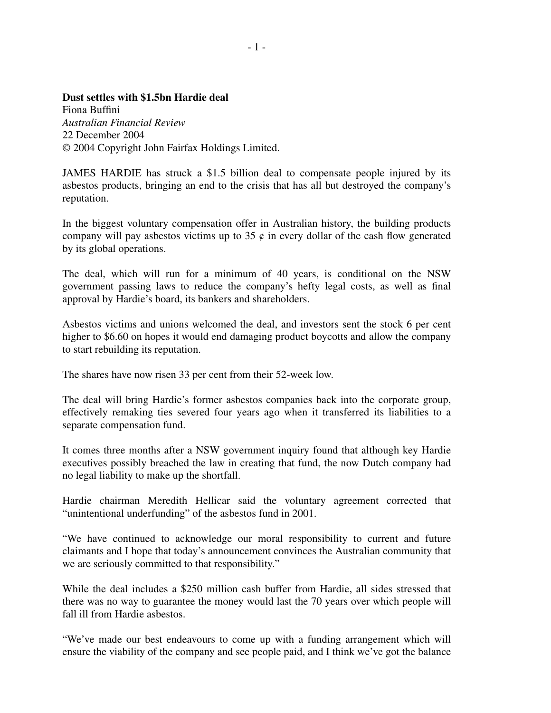## **Dust settles with \$1.5bn Hardie deal**

Fiona Buffini *Australian Financial Review* 22 December 2004 © 2004 Copyright John Fairfax Holdings Limited.

JAMES HARDIE has struck a \$1.5 billion deal to compensate people injured by its asbestos products, bringing an end to the crisis that has all but destroyed the company's reputation.

In the biggest voluntary compensation offer in Australian history, the building products company will pay asbestos victims up to 35  $\phi$  in every dollar of the cash flow generated by its global operations.

The deal, which will run for a minimum of 40 years, is conditional on the NSW government passing laws to reduce the company's hefty legal costs, as well as final approval by Hardie's board, its bankers and shareholders.

Asbestos victims and unions welcomed the deal, and investors sent the stock 6 per cent higher to \$6.60 on hopes it would end damaging product boycotts and allow the company to start rebuilding its reputation.

The shares have now risen 33 per cent from their 52-week low.

The deal will bring Hardie's former asbestos companies back into the corporate group, effectively remaking ties severed four years ago when it transferred its liabilities to a separate compensation fund.

It comes three months after a NSW government inquiry found that although key Hardie executives possibly breached the law in creating that fund, the now Dutch company had no legal liability to make up the shortfall.

Hardie chairman Meredith Hellicar said the voluntary agreement corrected that "unintentional underfunding" of the asbestos fund in 2001.

"We have continued to acknowledge our moral responsibility to current and future claimants and I hope that today's announcement convinces the Australian community that we are seriously committed to that responsibility."

While the deal includes a \$250 million cash buffer from Hardie, all sides stressed that there was no way to guarantee the money would last the 70 years over which people will fall ill from Hardie asbestos.

"We've made our best endeavours to come up with a funding arrangement which will ensure the viability of the company and see people paid, and I think we've got the balance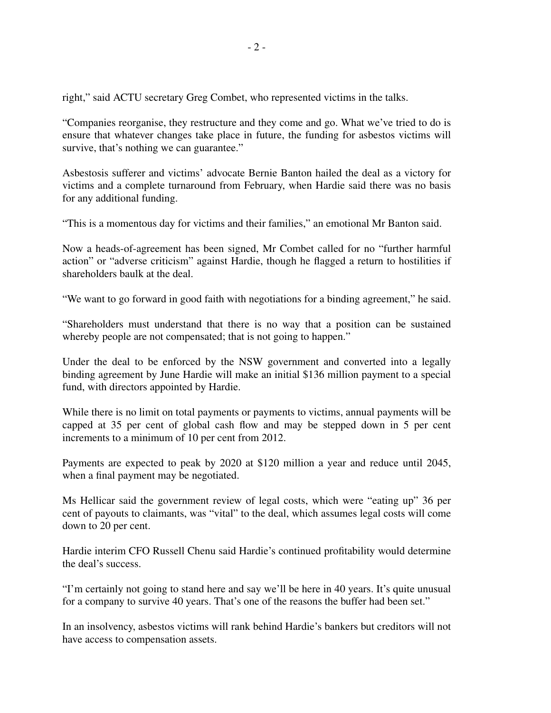right," said ACTU secretary Greg Combet, who represented victims in the talks.

"Companies reorganise, they restructure and they come and go. What we've tried to do is ensure that whatever changes take place in future, the funding for asbestos victims will survive, that's nothing we can guarantee."

Asbestosis sufferer and victims' advocate Bernie Banton hailed the deal as a victory for victims and a complete turnaround from February, when Hardie said there was no basis for any additional funding.

"This is a momentous day for victims and their families," an emotional Mr Banton said.

Now a heads-of-agreement has been signed, Mr Combet called for no "further harmful action" or "adverse criticism" against Hardie, though he flagged a return to hostilities if shareholders baulk at the deal.

"We want to go forward in good faith with negotiations for a binding agreement," he said.

"Shareholders must understand that there is no way that a position can be sustained whereby people are not compensated; that is not going to happen."

Under the deal to be enforced by the NSW government and converted into a legally binding agreement by June Hardie will make an initial \$136 million payment to a special fund, with directors appointed by Hardie.

While there is no limit on total payments or payments to victims, annual payments will be capped at 35 per cent of global cash flow and may be stepped down in 5 per cent increments to a minimum of 10 per cent from 2012.

Payments are expected to peak by 2020 at \$120 million a year and reduce until 2045, when a final payment may be negotiated.

Ms Hellicar said the government review of legal costs, which were "eating up" 36 per cent of payouts to claimants, was "vital" to the deal, which assumes legal costs will come down to 20 per cent.

Hardie interim CFO Russell Chenu said Hardie's continued profitability would determine the deal's success.

"I'm certainly not going to stand here and say we'll be here in 40 years. It's quite unusual for a company to survive 40 years. That's one of the reasons the buffer had been set."

In an insolvency, asbestos victims will rank behind Hardie's bankers but creditors will not have access to compensation assets.